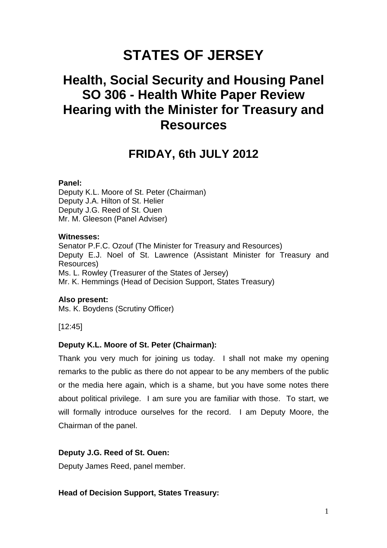# **STATES OF JERSEY**

## **Health, Social Security and Housing Panel SO 306 - Health White Paper Review Hearing with the Minister for Treasury and Resources**

## **FRIDAY, 6th JULY 2012**

## **Panel:**

Deputy K.L. Moore of St. Peter (Chairman) Deputy J.A. Hilton of St. Helier Deputy J.G. Reed of St. Ouen Mr. M. Gleeson (Panel Adviser)

## **Witnesses:**

Senator P.F.C. Ozouf (The Minister for Treasury and Resources) Deputy E.J. Noel of St. Lawrence (Assistant Minister for Treasury and Resources) Ms. L. Rowley (Treasurer of the States of Jersey) Mr. K. Hemmings (Head of Decision Support, States Treasury)

## **Also present:**

Ms. K. Boydens (Scrutiny Officer)

[12:45]

## **Deputy K.L. Moore of St. Peter (Chairman):**

Thank you very much for joining us today. I shall not make my opening remarks to the public as there do not appear to be any members of the public or the media here again, which is a shame, but you have some notes there about political privilege. I am sure you are familiar with those. To start, we will formally introduce ourselves for the record. I am Deputy Moore, the Chairman of the panel.

## **Deputy J.G. Reed of St. Ouen:**

Deputy James Reed, panel member.

**Head of Decision Support, States Treasury:**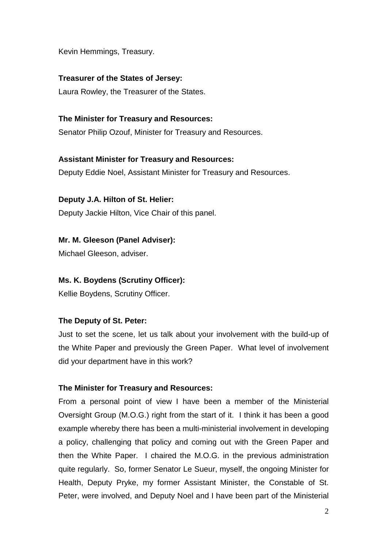Kevin Hemmings, Treasury.

## **Treasurer of the States of Jersey:**

Laura Rowley, the Treasurer of the States.

## **The Minister for Treasury and Resources:**

Senator Philip Ozouf, Minister for Treasury and Resources.

## **Assistant Minister for Treasury and Resources:**

Deputy Eddie Noel, Assistant Minister for Treasury and Resources.

## **Deputy J.A. Hilton of St. Helier:**

Deputy Jackie Hilton, Vice Chair of this panel.

## **Mr. M. Gleeson (Panel Adviser):**

Michael Gleeson, adviser.

## **Ms. K. Boydens (Scrutiny Officer):**

Kellie Boydens, Scrutiny Officer.

## **The Deputy of St. Peter:**

Just to set the scene, let us talk about your involvement with the build-up of the White Paper and previously the Green Paper. What level of involvement did your department have in this work?

## **The Minister for Treasury and Resources:**

From a personal point of view I have been a member of the Ministerial Oversight Group (M.O.G.) right from the start of it. I think it has been a good example whereby there has been a multi-ministerial involvement in developing a policy, challenging that policy and coming out with the Green Paper and then the White Paper. I chaired the M.O.G. in the previous administration quite regularly. So, former Senator Le Sueur, myself, the ongoing Minister for Health, Deputy Pryke, my former Assistant Minister, the Constable of St. Peter, were involved, and Deputy Noel and I have been part of the Ministerial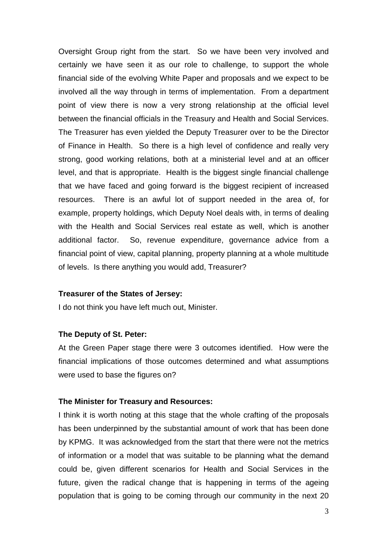Oversight Group right from the start. So we have been very involved and certainly we have seen it as our role to challenge, to support the whole financial side of the evolving White Paper and proposals and we expect to be involved all the way through in terms of implementation. From a department point of view there is now a very strong relationship at the official level between the financial officials in the Treasury and Health and Social Services. The Treasurer has even yielded the Deputy Treasurer over to be the Director of Finance in Health. So there is a high level of confidence and really very strong, good working relations, both at a ministerial level and at an officer level, and that is appropriate. Health is the biggest single financial challenge that we have faced and going forward is the biggest recipient of increased resources. There is an awful lot of support needed in the area of, for example, property holdings, which Deputy Noel deals with, in terms of dealing with the Health and Social Services real estate as well, which is another additional factor. So, revenue expenditure, governance advice from a financial point of view, capital planning, property planning at a whole multitude of levels. Is there anything you would add, Treasurer?

#### **Treasurer of the States of Jersey:**

I do not think you have left much out, Minister.

#### **The Deputy of St. Peter:**

At the Green Paper stage there were 3 outcomes identified. How were the financial implications of those outcomes determined and what assumptions were used to base the figures on?

#### **The Minister for Treasury and Resources:**

I think it is worth noting at this stage that the whole crafting of the proposals has been underpinned by the substantial amount of work that has been done by KPMG. It was acknowledged from the start that there were not the metrics of information or a model that was suitable to be planning what the demand could be, given different scenarios for Health and Social Services in the future, given the radical change that is happening in terms of the ageing population that is going to be coming through our community in the next 20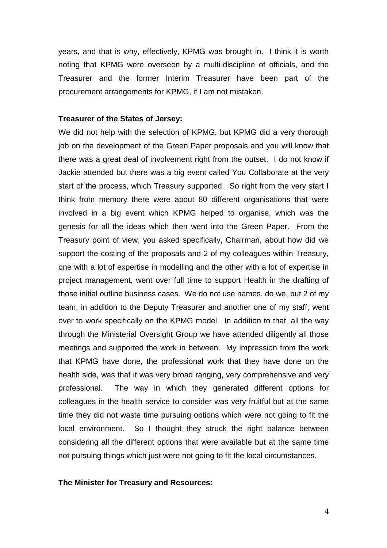years, and that is why, effectively, KPMG was brought in. I think it is worth noting that KPMG were overseen by a multi-discipline of officials, and the Treasurer and the former Interim Treasurer have been part of the procurement arrangements for KPMG, if I am not mistaken.

## **Treasurer of the States of Jersey:**

We did not help with the selection of KPMG, but KPMG did a very thorough job on the development of the Green Paper proposals and you will know that there was a great deal of involvement right from the outset. I do not know if Jackie attended but there was a big event called You Collaborate at the very start of the process, which Treasury supported. So right from the very start I think from memory there were about 80 different organisations that were involved in a big event which KPMG helped to organise, which was the genesis for all the ideas which then went into the Green Paper. From the Treasury point of view, you asked specifically, Chairman, about how did we support the costing of the proposals and 2 of my colleagues within Treasury, one with a lot of expertise in modelling and the other with a lot of expertise in project management, went over full time to support Health in the drafting of those initial outline business cases. We do not use names, do we, but 2 of my team, in addition to the Deputy Treasurer and another one of my staff, went over to work specifically on the KPMG model. In addition to that, all the way through the Ministerial Oversight Group we have attended diligently all those meetings and supported the work in between. My impression from the work that KPMG have done, the professional work that they have done on the health side, was that it was very broad ranging, very comprehensive and very professional. The way in which they generated different options for colleagues in the health service to consider was very fruitful but at the same time they did not waste time pursuing options which were not going to fit the local environment. So I thought they struck the right balance between considering all the different options that were available but at the same time not pursuing things which just were not going to fit the local circumstances.

#### **The Minister for Treasury and Resources:**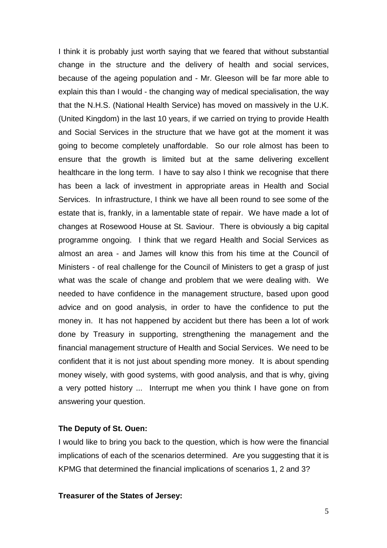I think it is probably just worth saying that we feared that without substantial change in the structure and the delivery of health and social services, because of the ageing population and - Mr. Gleeson will be far more able to explain this than I would - the changing way of medical specialisation, the way that the N.H.S. (National Health Service) has moved on massively in the U.K. (United Kingdom) in the last 10 years, if we carried on trying to provide Health and Social Services in the structure that we have got at the moment it was going to become completely unaffordable. So our role almost has been to ensure that the growth is limited but at the same delivering excellent healthcare in the long term. I have to say also I think we recognise that there has been a lack of investment in appropriate areas in Health and Social Services. In infrastructure, I think we have all been round to see some of the estate that is, frankly, in a lamentable state of repair. We have made a lot of changes at Rosewood House at St. Saviour. There is obviously a big capital programme ongoing. I think that we regard Health and Social Services as almost an area - and James will know this from his time at the Council of Ministers - of real challenge for the Council of Ministers to get a grasp of just what was the scale of change and problem that we were dealing with. We needed to have confidence in the management structure, based upon good advice and on good analysis, in order to have the confidence to put the money in. It has not happened by accident but there has been a lot of work done by Treasury in supporting, strengthening the management and the financial management structure of Health and Social Services. We need to be confident that it is not just about spending more money. It is about spending money wisely, with good systems, with good analysis, and that is why, giving a very potted history ... Interrupt me when you think I have gone on from answering your question.

#### **The Deputy of St. Ouen:**

I would like to bring you back to the question, which is how were the financial implications of each of the scenarios determined. Are you suggesting that it is KPMG that determined the financial implications of scenarios 1, 2 and 3?

#### **Treasurer of the States of Jersey:**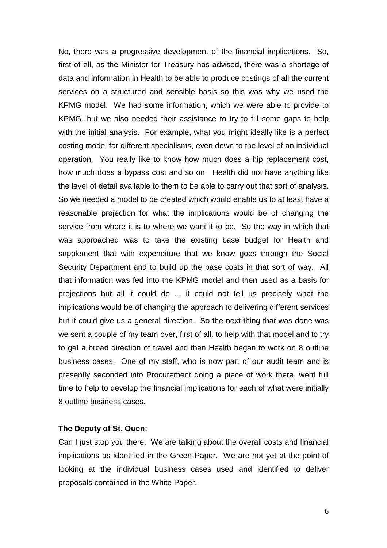No, there was a progressive development of the financial implications. So, first of all, as the Minister for Treasury has advised, there was a shortage of data and information in Health to be able to produce costings of all the current services on a structured and sensible basis so this was why we used the KPMG model. We had some information, which we were able to provide to KPMG, but we also needed their assistance to try to fill some gaps to help with the initial analysis. For example, what you might ideally like is a perfect costing model for different specialisms, even down to the level of an individual operation. You really like to know how much does a hip replacement cost, how much does a bypass cost and so on. Health did not have anything like the level of detail available to them to be able to carry out that sort of analysis. So we needed a model to be created which would enable us to at least have a reasonable projection for what the implications would be of changing the service from where it is to where we want it to be. So the way in which that was approached was to take the existing base budget for Health and supplement that with expenditure that we know goes through the Social Security Department and to build up the base costs in that sort of way. All that information was fed into the KPMG model and then used as a basis for projections but all it could do ... it could not tell us precisely what the implications would be of changing the approach to delivering different services but it could give us a general direction. So the next thing that was done was we sent a couple of my team over, first of all, to help with that model and to try to get a broad direction of travel and then Health began to work on 8 outline business cases. One of my staff, who is now part of our audit team and is presently seconded into Procurement doing a piece of work there, went full time to help to develop the financial implications for each of what were initially 8 outline business cases.

#### **The Deputy of St. Ouen:**

Can I just stop you there. We are talking about the overall costs and financial implications as identified in the Green Paper. We are not yet at the point of looking at the individual business cases used and identified to deliver proposals contained in the White Paper.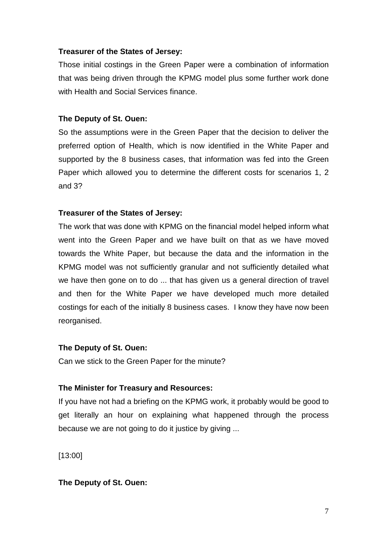## **Treasurer of the States of Jersey:**

Those initial costings in the Green Paper were a combination of information that was being driven through the KPMG model plus some further work done with Health and Social Services finance.

## **The Deputy of St. Ouen:**

So the assumptions were in the Green Paper that the decision to deliver the preferred option of Health, which is now identified in the White Paper and supported by the 8 business cases, that information was fed into the Green Paper which allowed you to determine the different costs for scenarios 1, 2 and 3?

## **Treasurer of the States of Jersey:**

The work that was done with KPMG on the financial model helped inform what went into the Green Paper and we have built on that as we have moved towards the White Paper, but because the data and the information in the KPMG model was not sufficiently granular and not sufficiently detailed what we have then gone on to do ... that has given us a general direction of travel and then for the White Paper we have developed much more detailed costings for each of the initially 8 business cases. I know they have now been reorganised.

## **The Deputy of St. Ouen:**

Can we stick to the Green Paper for the minute?

## **The Minister for Treasury and Resources:**

If you have not had a briefing on the KPMG work, it probably would be good to get literally an hour on explaining what happened through the process because we are not going to do it justice by giving ...

[13:00]

## **The Deputy of St. Ouen:**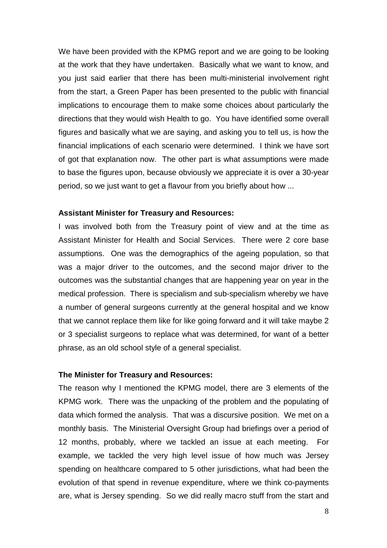We have been provided with the KPMG report and we are going to be looking at the work that they have undertaken. Basically what we want to know, and you just said earlier that there has been multi-ministerial involvement right from the start, a Green Paper has been presented to the public with financial implications to encourage them to make some choices about particularly the directions that they would wish Health to go. You have identified some overall figures and basically what we are saying, and asking you to tell us, is how the financial implications of each scenario were determined. I think we have sort of got that explanation now. The other part is what assumptions were made to base the figures upon, because obviously we appreciate it is over a 30-year period, so we just want to get a flavour from you briefly about how ...

#### **Assistant Minister for Treasury and Resources:**

I was involved both from the Treasury point of view and at the time as Assistant Minister for Health and Social Services. There were 2 core base assumptions. One was the demographics of the ageing population, so that was a major driver to the outcomes, and the second major driver to the outcomes was the substantial changes that are happening year on year in the medical profession. There is specialism and sub-specialism whereby we have a number of general surgeons currently at the general hospital and we know that we cannot replace them like for like going forward and it will take maybe 2 or 3 specialist surgeons to replace what was determined, for want of a better phrase, as an old school style of a general specialist.

## **The Minister for Treasury and Resources:**

The reason why I mentioned the KPMG model, there are 3 elements of the KPMG work. There was the unpacking of the problem and the populating of data which formed the analysis. That was a discursive position. We met on a monthly basis. The Ministerial Oversight Group had briefings over a period of 12 months, probably, where we tackled an issue at each meeting. For example, we tackled the very high level issue of how much was Jersey spending on healthcare compared to 5 other jurisdictions, what had been the evolution of that spend in revenue expenditure, where we think co-payments are, what is Jersey spending. So we did really macro stuff from the start and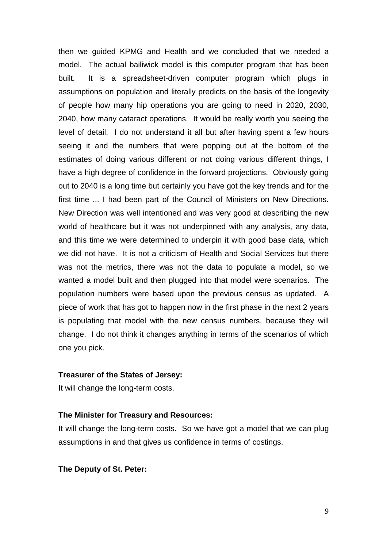then we guided KPMG and Health and we concluded that we needed a model. The actual bailiwick model is this computer program that has been built. It is a spreadsheet-driven computer program which plugs in assumptions on population and literally predicts on the basis of the longevity of people how many hip operations you are going to need in 2020, 2030, 2040, how many cataract operations. It would be really worth you seeing the level of detail. I do not understand it all but after having spent a few hours seeing it and the numbers that were popping out at the bottom of the estimates of doing various different or not doing various different things, I have a high degree of confidence in the forward projections. Obviously going out to 2040 is a long time but certainly you have got the key trends and for the first time ... I had been part of the Council of Ministers on New Directions. New Direction was well intentioned and was very good at describing the new world of healthcare but it was not underpinned with any analysis, any data, and this time we were determined to underpin it with good base data, which we did not have. It is not a criticism of Health and Social Services but there was not the metrics, there was not the data to populate a model, so we wanted a model built and then plugged into that model were scenarios. The population numbers were based upon the previous census as updated. A piece of work that has got to happen now in the first phase in the next 2 years is populating that model with the new census numbers, because they will change. I do not think it changes anything in terms of the scenarios of which one you pick.

## **Treasurer of the States of Jersey:**

It will change the long-term costs.

#### **The Minister for Treasury and Resources:**

It will change the long-term costs. So we have got a model that we can plug assumptions in and that gives us confidence in terms of costings.

#### **The Deputy of St. Peter:**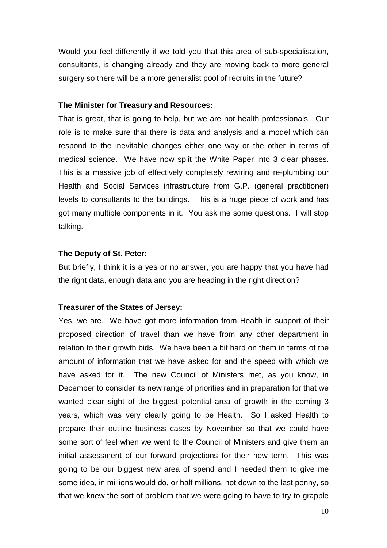Would you feel differently if we told you that this area of sub-specialisation, consultants, is changing already and they are moving back to more general surgery so there will be a more generalist pool of recruits in the future?

#### **The Minister for Treasury and Resources:**

That is great, that is going to help, but we are not health professionals. Our role is to make sure that there is data and analysis and a model which can respond to the inevitable changes either one way or the other in terms of medical science. We have now split the White Paper into 3 clear phases. This is a massive job of effectively completely rewiring and re-plumbing our Health and Social Services infrastructure from G.P. (general practitioner) levels to consultants to the buildings. This is a huge piece of work and has got many multiple components in it. You ask me some questions. I will stop talking.

#### **The Deputy of St. Peter:**

But briefly, I think it is a yes or no answer, you are happy that you have had the right data, enough data and you are heading in the right direction?

#### **Treasurer of the States of Jersey:**

Yes, we are. We have got more information from Health in support of their proposed direction of travel than we have from any other department in relation to their growth bids. We have been a bit hard on them in terms of the amount of information that we have asked for and the speed with which we have asked for it. The new Council of Ministers met, as you know, in December to consider its new range of priorities and in preparation for that we wanted clear sight of the biggest potential area of growth in the coming 3 years, which was very clearly going to be Health. So I asked Health to prepare their outline business cases by November so that we could have some sort of feel when we went to the Council of Ministers and give them an initial assessment of our forward projections for their new term. This was going to be our biggest new area of spend and I needed them to give me some idea, in millions would do, or half millions, not down to the last penny, so that we knew the sort of problem that we were going to have to try to grapple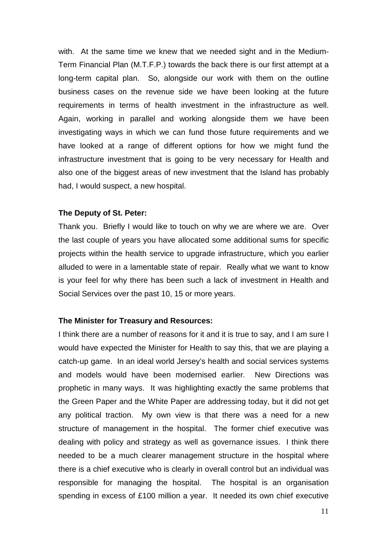with. At the same time we knew that we needed sight and in the Medium-Term Financial Plan (M.T.F.P.) towards the back there is our first attempt at a long-term capital plan. So, alongside our work with them on the outline business cases on the revenue side we have been looking at the future requirements in terms of health investment in the infrastructure as well. Again, working in parallel and working alongside them we have been investigating ways in which we can fund those future requirements and we have looked at a range of different options for how we might fund the infrastructure investment that is going to be very necessary for Health and also one of the biggest areas of new investment that the Island has probably had, I would suspect, a new hospital.

#### **The Deputy of St. Peter:**

Thank you. Briefly I would like to touch on why we are where we are. Over the last couple of years you have allocated some additional sums for specific projects within the health service to upgrade infrastructure, which you earlier alluded to were in a lamentable state of repair. Really what we want to know is your feel for why there has been such a lack of investment in Health and Social Services over the past 10, 15 or more years.

#### **The Minister for Treasury and Resources:**

I think there are a number of reasons for it and it is true to say, and I am sure I would have expected the Minister for Health to say this, that we are playing a catch-up game. In an ideal world Jersey's health and social services systems and models would have been modernised earlier. New Directions was prophetic in many ways. It was highlighting exactly the same problems that the Green Paper and the White Paper are addressing today, but it did not get any political traction. My own view is that there was a need for a new structure of management in the hospital. The former chief executive was dealing with policy and strategy as well as governance issues. I think there needed to be a much clearer management structure in the hospital where there is a chief executive who is clearly in overall control but an individual was responsible for managing the hospital. The hospital is an organisation spending in excess of £100 million a year. It needed its own chief executive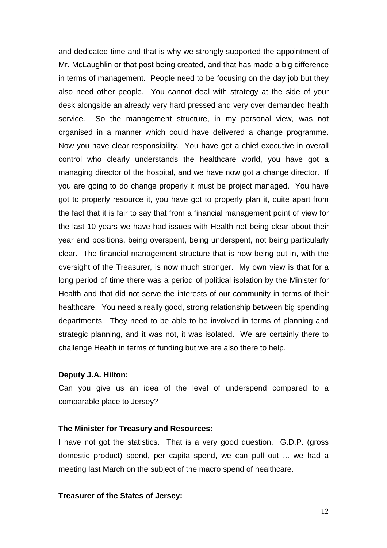and dedicated time and that is why we strongly supported the appointment of Mr. McLaughlin or that post being created, and that has made a big difference in terms of management. People need to be focusing on the day job but they also need other people. You cannot deal with strategy at the side of your desk alongside an already very hard pressed and very over demanded health service. So the management structure, in my personal view, was not organised in a manner which could have delivered a change programme. Now you have clear responsibility. You have got a chief executive in overall control who clearly understands the healthcare world, you have got a managing director of the hospital, and we have now got a change director. If you are going to do change properly it must be project managed. You have got to properly resource it, you have got to properly plan it, quite apart from the fact that it is fair to say that from a financial management point of view for the last 10 years we have had issues with Health not being clear about their year end positions, being overspent, being underspent, not being particularly clear. The financial management structure that is now being put in, with the oversight of the Treasurer, is now much stronger. My own view is that for a long period of time there was a period of political isolation by the Minister for Health and that did not serve the interests of our community in terms of their healthcare. You need a really good, strong relationship between big spending departments. They need to be able to be involved in terms of planning and strategic planning, and it was not, it was isolated. We are certainly there to challenge Health in terms of funding but we are also there to help.

## **Deputy J.A. Hilton:**

Can you give us an idea of the level of underspend compared to a comparable place to Jersey?

#### **The Minister for Treasury and Resources:**

I have not got the statistics. That is a very good question. G.D.P. (gross domestic product) spend, per capita spend, we can pull out ... we had a meeting last March on the subject of the macro spend of healthcare.

## **Treasurer of the States of Jersey:**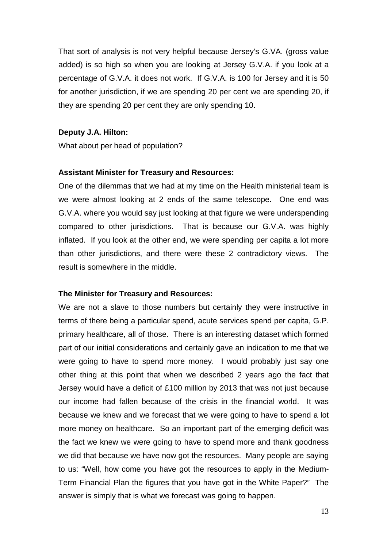That sort of analysis is not very helpful because Jersey's G.VA. (gross value added) is so high so when you are looking at Jersey G.V.A. if you look at a percentage of G.V.A. it does not work. If G.V.A. is 100 for Jersey and it is 50 for another jurisdiction, if we are spending 20 per cent we are spending 20, if they are spending 20 per cent they are only spending 10.

## **Deputy J.A. Hilton:**

What about per head of population?

#### **Assistant Minister for Treasury and Resources:**

One of the dilemmas that we had at my time on the Health ministerial team is we were almost looking at 2 ends of the same telescope. One end was G.V.A. where you would say just looking at that figure we were underspending compared to other jurisdictions. That is because our G.V.A. was highly inflated. If you look at the other end, we were spending per capita a lot more than other jurisdictions, and there were these 2 contradictory views. The result is somewhere in the middle.

#### **The Minister for Treasury and Resources:**

We are not a slave to those numbers but certainly they were instructive in terms of there being a particular spend, acute services spend per capita, G.P. primary healthcare, all of those. There is an interesting dataset which formed part of our initial considerations and certainly gave an indication to me that we were going to have to spend more money. I would probably just say one other thing at this point that when we described 2 years ago the fact that Jersey would have a deficit of £100 million by 2013 that was not just because our income had fallen because of the crisis in the financial world. It was because we knew and we forecast that we were going to have to spend a lot more money on healthcare. So an important part of the emerging deficit was the fact we knew we were going to have to spend more and thank goodness we did that because we have now got the resources. Many people are saying to us: "Well, how come you have got the resources to apply in the Medium-Term Financial Plan the figures that you have got in the White Paper?" The answer is simply that is what we forecast was going to happen.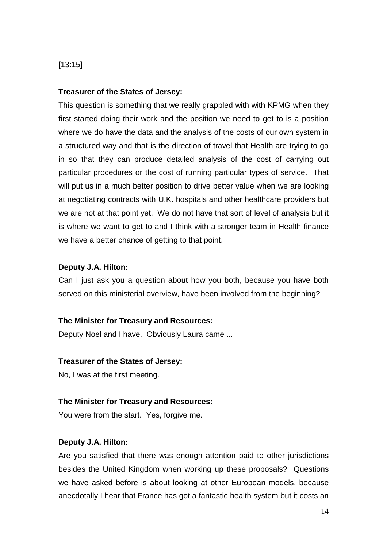## [13:15]

## **Treasurer of the States of Jersey:**

This question is something that we really grappled with with KPMG when they first started doing their work and the position we need to get to is a position where we do have the data and the analysis of the costs of our own system in a structured way and that is the direction of travel that Health are trying to go in so that they can produce detailed analysis of the cost of carrying out particular procedures or the cost of running particular types of service. That will put us in a much better position to drive better value when we are looking at negotiating contracts with U.K. hospitals and other healthcare providers but we are not at that point yet. We do not have that sort of level of analysis but it is where we want to get to and I think with a stronger team in Health finance we have a better chance of getting to that point.

## **Deputy J.A. Hilton:**

Can I just ask you a question about how you both, because you have both served on this ministerial overview, have been involved from the beginning?

## **The Minister for Treasury and Resources:**

Deputy Noel and I have. Obviously Laura came ...

## **Treasurer of the States of Jersey:**

No, I was at the first meeting.

## **The Minister for Treasury and Resources:**

You were from the start. Yes, forgive me.

## **Deputy J.A. Hilton:**

Are you satisfied that there was enough attention paid to other jurisdictions besides the United Kingdom when working up these proposals? Questions we have asked before is about looking at other European models, because anecdotally I hear that France has got a fantastic health system but it costs an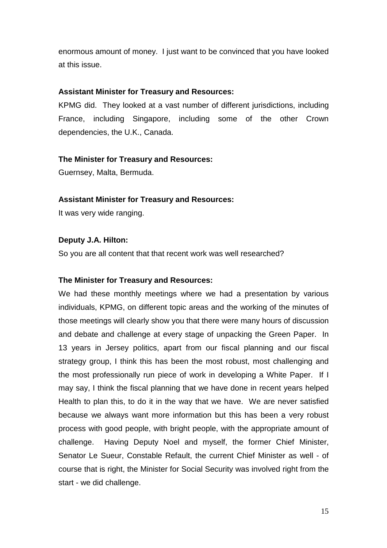enormous amount of money. I just want to be convinced that you have looked at this issue.

## **Assistant Minister for Treasury and Resources:**

KPMG did. They looked at a vast number of different jurisdictions, including France, including Singapore, including some of the other Crown dependencies, the U.K., Canada.

## **The Minister for Treasury and Resources:**

Guernsey, Malta, Bermuda.

## **Assistant Minister for Treasury and Resources:**

It was very wide ranging.

## **Deputy J.A. Hilton:**

So you are all content that that recent work was well researched?

## **The Minister for Treasury and Resources:**

We had these monthly meetings where we had a presentation by various individuals, KPMG, on different topic areas and the working of the minutes of those meetings will clearly show you that there were many hours of discussion and debate and challenge at every stage of unpacking the Green Paper. In 13 years in Jersey politics, apart from our fiscal planning and our fiscal strategy group, I think this has been the most robust, most challenging and the most professionally run piece of work in developing a White Paper. If I may say, I think the fiscal planning that we have done in recent years helped Health to plan this, to do it in the way that we have. We are never satisfied because we always want more information but this has been a very robust process with good people, with bright people, with the appropriate amount of challenge. Having Deputy Noel and myself, the former Chief Minister, Senator Le Sueur, Constable Refault, the current Chief Minister as well - of course that is right, the Minister for Social Security was involved right from the start - we did challenge.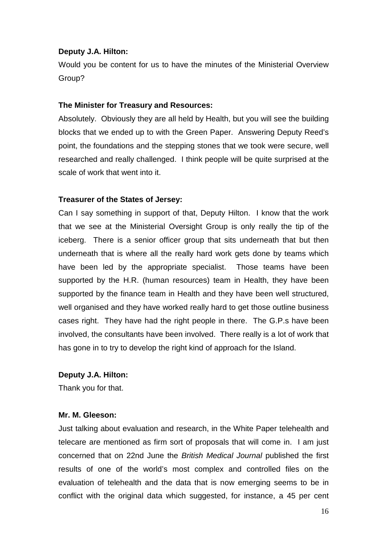## **Deputy J.A. Hilton:**

Would you be content for us to have the minutes of the Ministerial Overview Group?

#### **The Minister for Treasury and Resources:**

Absolutely. Obviously they are all held by Health, but you will see the building blocks that we ended up to with the Green Paper. Answering Deputy Reed's point, the foundations and the stepping stones that we took were secure, well researched and really challenged. I think people will be quite surprised at the scale of work that went into it.

## **Treasurer of the States of Jersey:**

Can I say something in support of that, Deputy Hilton. I know that the work that we see at the Ministerial Oversight Group is only really the tip of the iceberg. There is a senior officer group that sits underneath that but then underneath that is where all the really hard work gets done by teams which have been led by the appropriate specialist. Those teams have been supported by the H.R. (human resources) team in Health, they have been supported by the finance team in Health and they have been well structured, well organised and they have worked really hard to get those outline business cases right. They have had the right people in there. The G.P.s have been involved, the consultants have been involved. There really is a lot of work that has gone in to try to develop the right kind of approach for the Island.

#### **Deputy J.A. Hilton:**

Thank you for that.

#### **Mr. M. Gleeson:**

Just talking about evaluation and research, in the White Paper telehealth and telecare are mentioned as firm sort of proposals that will come in. I am just concerned that on 22nd June the British Medical Journal published the first results of one of the world's most complex and controlled files on the evaluation of telehealth and the data that is now emerging seems to be in conflict with the original data which suggested, for instance, a 45 per cent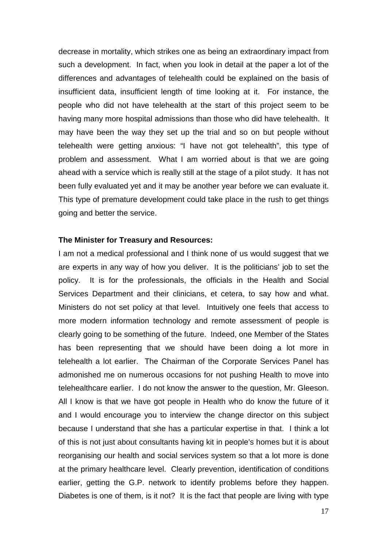decrease in mortality, which strikes one as being an extraordinary impact from such a development. In fact, when you look in detail at the paper a lot of the differences and advantages of telehealth could be explained on the basis of insufficient data, insufficient length of time looking at it. For instance, the people who did not have telehealth at the start of this project seem to be having many more hospital admissions than those who did have telehealth. It may have been the way they set up the trial and so on but people without telehealth were getting anxious: "I have not got telehealth", this type of problem and assessment. What I am worried about is that we are going ahead with a service which is really still at the stage of a pilot study. It has not been fully evaluated yet and it may be another year before we can evaluate it. This type of premature development could take place in the rush to get things going and better the service.

#### **The Minister for Treasury and Resources:**

I am not a medical professional and I think none of us would suggest that we are experts in any way of how you deliver. It is the politicians' job to set the policy. It is for the professionals, the officials in the Health and Social Services Department and their clinicians, et cetera, to say how and what. Ministers do not set policy at that level. Intuitively one feels that access to more modern information technology and remote assessment of people is clearly going to be something of the future. Indeed, one Member of the States has been representing that we should have been doing a lot more in telehealth a lot earlier. The Chairman of the Corporate Services Panel has admonished me on numerous occasions for not pushing Health to move into telehealthcare earlier. I do not know the answer to the question, Mr. Gleeson. All I know is that we have got people in Health who do know the future of it and I would encourage you to interview the change director on this subject because I understand that she has a particular expertise in that. I think a lot of this is not just about consultants having kit in people's homes but it is about reorganising our health and social services system so that a lot more is done at the primary healthcare level. Clearly prevention, identification of conditions earlier, getting the G.P. network to identify problems before they happen. Diabetes is one of them, is it not? It is the fact that people are living with type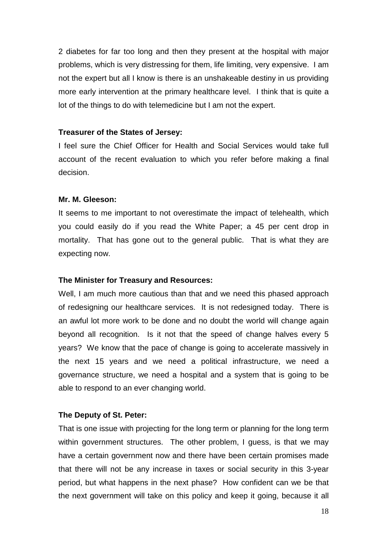2 diabetes for far too long and then they present at the hospital with major problems, which is very distressing for them, life limiting, very expensive. I am not the expert but all I know is there is an unshakeable destiny in us providing more early intervention at the primary healthcare level. I think that is quite a lot of the things to do with telemedicine but I am not the expert.

#### **Treasurer of the States of Jersey:**

I feel sure the Chief Officer for Health and Social Services would take full account of the recent evaluation to which you refer before making a final decision.

#### **Mr. M. Gleeson:**

It seems to me important to not overestimate the impact of telehealth, which you could easily do if you read the White Paper; a 45 per cent drop in mortality. That has gone out to the general public. That is what they are expecting now.

#### **The Minister for Treasury and Resources:**

Well, I am much more cautious than that and we need this phased approach of redesigning our healthcare services. It is not redesigned today. There is an awful lot more work to be done and no doubt the world will change again beyond all recognition. Is it not that the speed of change halves every 5 years? We know that the pace of change is going to accelerate massively in the next 15 years and we need a political infrastructure, we need a governance structure, we need a hospital and a system that is going to be able to respond to an ever changing world.

#### **The Deputy of St. Peter:**

That is one issue with projecting for the long term or planning for the long term within government structures. The other problem, I guess, is that we may have a certain government now and there have been certain promises made that there will not be any increase in taxes or social security in this 3-year period, but what happens in the next phase? How confident can we be that the next government will take on this policy and keep it going, because it all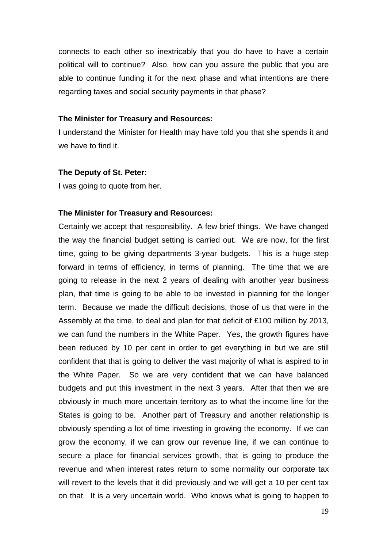connects to each other so inextricably that you do have to have a certain political will to continue? Also, how can you assure the public that you are able to continue funding it for the next phase and what intentions are there regarding taxes and social security payments in that phase?

#### **The Minister for Treasury and Resources:**

I understand the Minister for Health may have told you that she spends it and we have to find it.

#### **The Deputy of St. Peter:**

I was going to quote from her.

#### **The Minister for Treasury and Resources:**

Certainly we accept that responsibility. A few brief things. We have changed the way the financial budget setting is carried out. We are now, for the first time, going to be giving departments 3-year budgets. This is a huge step forward in terms of efficiency, in terms of planning. The time that we are going to release in the next 2 years of dealing with another year business plan, that time is going to be able to be invested in planning for the longer term. Because we made the difficult decisions, those of us that were in the Assembly at the time, to deal and plan for that deficit of £100 million by 2013, we can fund the numbers in the White Paper. Yes, the growth figures have been reduced by 10 per cent in order to get everything in but we are still confident that that is going to deliver the vast majority of what is aspired to in the White Paper. So we are very confident that we can have balanced budgets and put this investment in the next 3 years. After that then we are obviously in much more uncertain territory as to what the income line for the States is going to be. Another part of Treasury and another relationship is obviously spending a lot of time investing in growing the economy. If we can grow the economy, if we can grow our revenue line, if we can continue to secure a place for financial services growth, that is going to produce the revenue and when interest rates return to some normality our corporate tax will revert to the levels that it did previously and we will get a 10 per cent tax on that. It is a very uncertain world. Who knows what is going to happen to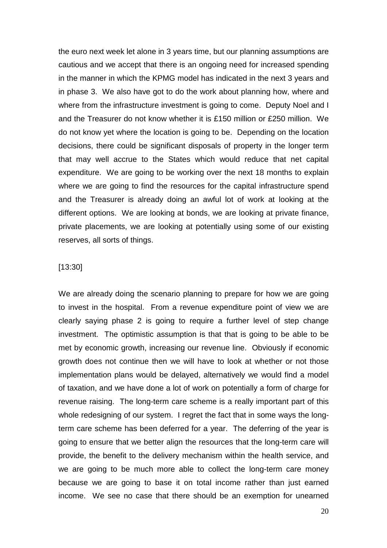the euro next week let alone in 3 years time, but our planning assumptions are cautious and we accept that there is an ongoing need for increased spending in the manner in which the KPMG model has indicated in the next 3 years and in phase 3. We also have got to do the work about planning how, where and where from the infrastructure investment is going to come. Deputy Noel and I and the Treasurer do not know whether it is £150 million or £250 million. We do not know yet where the location is going to be. Depending on the location decisions, there could be significant disposals of property in the longer term that may well accrue to the States which would reduce that net capital expenditure. We are going to be working over the next 18 months to explain where we are going to find the resources for the capital infrastructure spend and the Treasurer is already doing an awful lot of work at looking at the different options. We are looking at bonds, we are looking at private finance, private placements, we are looking at potentially using some of our existing reserves, all sorts of things.

## [13:30]

We are already doing the scenario planning to prepare for how we are going to invest in the hospital. From a revenue expenditure point of view we are clearly saying phase 2 is going to require a further level of step change investment. The optimistic assumption is that that is going to be able to be met by economic growth, increasing our revenue line. Obviously if economic growth does not continue then we will have to look at whether or not those implementation plans would be delayed, alternatively we would find a model of taxation, and we have done a lot of work on potentially a form of charge for revenue raising. The long-term care scheme is a really important part of this whole redesigning of our system. I regret the fact that in some ways the longterm care scheme has been deferred for a year. The deferring of the year is going to ensure that we better align the resources that the long-term care will provide, the benefit to the delivery mechanism within the health service, and we are going to be much more able to collect the long-term care money because we are going to base it on total income rather than just earned income. We see no case that there should be an exemption for unearned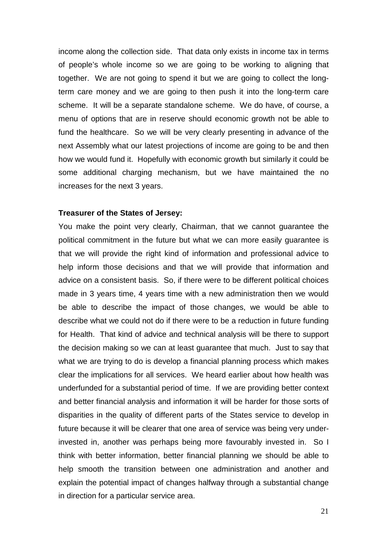income along the collection side. That data only exists in income tax in terms of people's whole income so we are going to be working to aligning that together. We are not going to spend it but we are going to collect the longterm care money and we are going to then push it into the long-term care scheme. It will be a separate standalone scheme. We do have, of course, a menu of options that are in reserve should economic growth not be able to fund the healthcare. So we will be very clearly presenting in advance of the next Assembly what our latest projections of income are going to be and then how we would fund it. Hopefully with economic growth but similarly it could be some additional charging mechanism, but we have maintained the no increases for the next 3 years.

#### **Treasurer of the States of Jersey:**

You make the point very clearly, Chairman, that we cannot guarantee the political commitment in the future but what we can more easily guarantee is that we will provide the right kind of information and professional advice to help inform those decisions and that we will provide that information and advice on a consistent basis. So, if there were to be different political choices made in 3 years time, 4 years time with a new administration then we would be able to describe the impact of those changes, we would be able to describe what we could not do if there were to be a reduction in future funding for Health. That kind of advice and technical analysis will be there to support the decision making so we can at least guarantee that much. Just to say that what we are trying to do is develop a financial planning process which makes clear the implications for all services. We heard earlier about how health was underfunded for a substantial period of time. If we are providing better context and better financial analysis and information it will be harder for those sorts of disparities in the quality of different parts of the States service to develop in future because it will be clearer that one area of service was being very underinvested in, another was perhaps being more favourably invested in. So I think with better information, better financial planning we should be able to help smooth the transition between one administration and another and explain the potential impact of changes halfway through a substantial change in direction for a particular service area.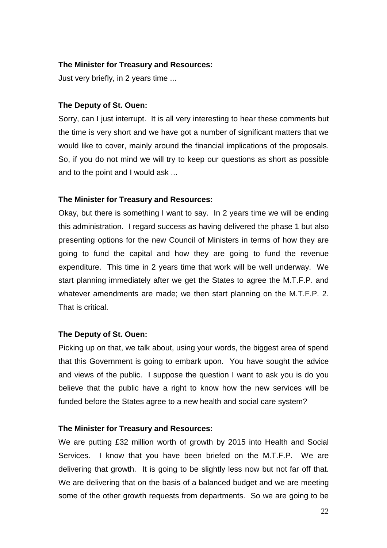## **The Minister for Treasury and Resources:**

Just very briefly, in 2 years time ...

## **The Deputy of St. Ouen:**

Sorry, can I just interrupt. It is all very interesting to hear these comments but the time is very short and we have got a number of significant matters that we would like to cover, mainly around the financial implications of the proposals. So, if you do not mind we will try to keep our questions as short as possible and to the point and I would ask ...

## **The Minister for Treasury and Resources:**

Okay, but there is something I want to say. In 2 years time we will be ending this administration. I regard success as having delivered the phase 1 but also presenting options for the new Council of Ministers in terms of how they are going to fund the capital and how they are going to fund the revenue expenditure. This time in 2 years time that work will be well underway. We start planning immediately after we get the States to agree the M.T.F.P. and whatever amendments are made; we then start planning on the M.T.F.P. 2. That is critical.

#### **The Deputy of St. Ouen:**

Picking up on that, we talk about, using your words, the biggest area of spend that this Government is going to embark upon. You have sought the advice and views of the public. I suppose the question I want to ask you is do you believe that the public have a right to know how the new services will be funded before the States agree to a new health and social care system?

#### **The Minister for Treasury and Resources:**

We are putting £32 million worth of growth by 2015 into Health and Social Services. I know that you have been briefed on the M.T.F.P. We are delivering that growth. It is going to be slightly less now but not far off that. We are delivering that on the basis of a balanced budget and we are meeting some of the other growth requests from departments. So we are going to be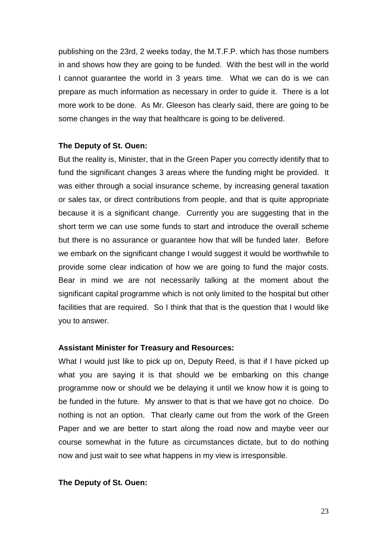publishing on the 23rd, 2 weeks today, the M.T.F.P. which has those numbers in and shows how they are going to be funded. With the best will in the world I cannot guarantee the world in 3 years time. What we can do is we can prepare as much information as necessary in order to guide it. There is a lot more work to be done. As Mr. Gleeson has clearly said, there are going to be some changes in the way that healthcare is going to be delivered.

#### **The Deputy of St. Ouen:**

But the reality is, Minister, that in the Green Paper you correctly identify that to fund the significant changes 3 areas where the funding might be provided. It was either through a social insurance scheme, by increasing general taxation or sales tax, or direct contributions from people, and that is quite appropriate because it is a significant change. Currently you are suggesting that in the short term we can use some funds to start and introduce the overall scheme but there is no assurance or guarantee how that will be funded later. Before we embark on the significant change I would suggest it would be worthwhile to provide some clear indication of how we are going to fund the major costs. Bear in mind we are not necessarily talking at the moment about the significant capital programme which is not only limited to the hospital but other facilities that are required. So I think that that is the question that I would like you to answer.

#### **Assistant Minister for Treasury and Resources:**

What I would just like to pick up on, Deputy Reed, is that if I have picked up what you are saying it is that should we be embarking on this change programme now or should we be delaying it until we know how it is going to be funded in the future. My answer to that is that we have got no choice. Do nothing is not an option. That clearly came out from the work of the Green Paper and we are better to start along the road now and maybe veer our course somewhat in the future as circumstances dictate, but to do nothing now and just wait to see what happens in my view is irresponsible.

#### **The Deputy of St. Ouen:**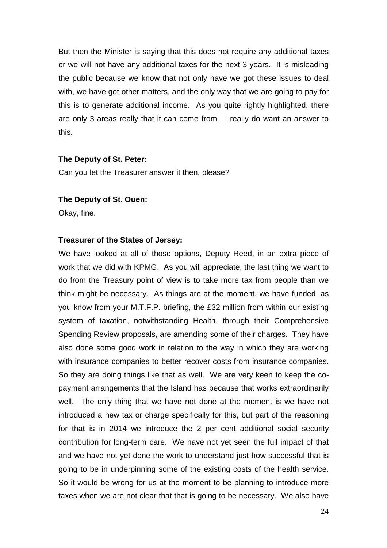But then the Minister is saying that this does not require any additional taxes or we will not have any additional taxes for the next 3 years. It is misleading the public because we know that not only have we got these issues to deal with, we have got other matters, and the only way that we are going to pay for this is to generate additional income. As you quite rightly highlighted, there are only 3 areas really that it can come from. I really do want an answer to this.

#### **The Deputy of St. Peter:**

Can you let the Treasurer answer it then, please?

#### **The Deputy of St. Ouen:**

Okay, fine.

#### **Treasurer of the States of Jersey:**

We have looked at all of those options, Deputy Reed, in an extra piece of work that we did with KPMG. As you will appreciate, the last thing we want to do from the Treasury point of view is to take more tax from people than we think might be necessary. As things are at the moment, we have funded, as you know from your M.T.F.P. briefing, the £32 million from within our existing system of taxation, notwithstanding Health, through their Comprehensive Spending Review proposals, are amending some of their charges. They have also done some good work in relation to the way in which they are working with insurance companies to better recover costs from insurance companies. So they are doing things like that as well. We are very keen to keep the copayment arrangements that the Island has because that works extraordinarily well. The only thing that we have not done at the moment is we have not introduced a new tax or charge specifically for this, but part of the reasoning for that is in 2014 we introduce the 2 per cent additional social security contribution for long-term care. We have not yet seen the full impact of that and we have not yet done the work to understand just how successful that is going to be in underpinning some of the existing costs of the health service. So it would be wrong for us at the moment to be planning to introduce more taxes when we are not clear that that is going to be necessary. We also have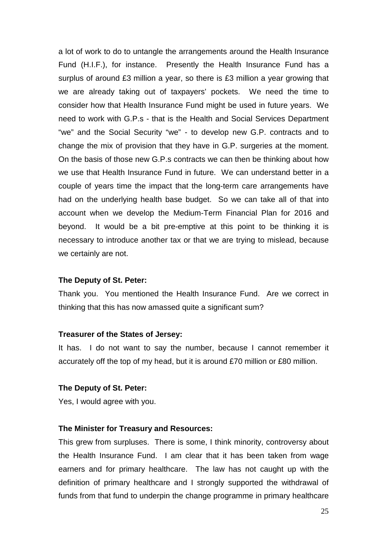a lot of work to do to untangle the arrangements around the Health Insurance Fund (H.I.F.), for instance. Presently the Health Insurance Fund has a surplus of around £3 million a year, so there is £3 million a year growing that we are already taking out of taxpayers' pockets. We need the time to consider how that Health Insurance Fund might be used in future years. We need to work with G.P.s - that is the Health and Social Services Department "we" and the Social Security "we" - to develop new G.P. contracts and to change the mix of provision that they have in G.P. surgeries at the moment. On the basis of those new G.P.s contracts we can then be thinking about how we use that Health Insurance Fund in future. We can understand better in a couple of years time the impact that the long-term care arrangements have had on the underlying health base budget. So we can take all of that into account when we develop the Medium-Term Financial Plan for 2016 and beyond. It would be a bit pre-emptive at this point to be thinking it is necessary to introduce another tax or that we are trying to mislead, because we certainly are not.

#### **The Deputy of St. Peter:**

Thank you. You mentioned the Health Insurance Fund. Are we correct in thinking that this has now amassed quite a significant sum?

#### **Treasurer of the States of Jersey:**

It has. I do not want to say the number, because I cannot remember it accurately off the top of my head, but it is around £70 million or £80 million.

## **The Deputy of St. Peter:**

Yes, I would agree with you.

#### **The Minister for Treasury and Resources:**

This grew from surpluses. There is some, I think minority, controversy about the Health Insurance Fund. I am clear that it has been taken from wage earners and for primary healthcare. The law has not caught up with the definition of primary healthcare and I strongly supported the withdrawal of funds from that fund to underpin the change programme in primary healthcare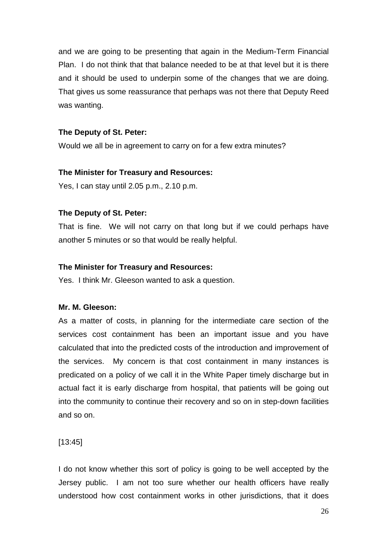and we are going to be presenting that again in the Medium-Term Financial Plan. I do not think that that balance needed to be at that level but it is there and it should be used to underpin some of the changes that we are doing. That gives us some reassurance that perhaps was not there that Deputy Reed was wanting.

## **The Deputy of St. Peter:**

Would we all be in agreement to carry on for a few extra minutes?

## **The Minister for Treasury and Resources:**

Yes, I can stay until 2.05 p.m., 2.10 p.m.

## **The Deputy of St. Peter:**

That is fine. We will not carry on that long but if we could perhaps have another 5 minutes or so that would be really helpful.

## **The Minister for Treasury and Resources:**

Yes. I think Mr. Gleeson wanted to ask a question.

## **Mr. M. Gleeson:**

As a matter of costs, in planning for the intermediate care section of the services cost containment has been an important issue and you have calculated that into the predicted costs of the introduction and improvement of the services. My concern is that cost containment in many instances is predicated on a policy of we call it in the White Paper timely discharge but in actual fact it is early discharge from hospital, that patients will be going out into the community to continue their recovery and so on in step-down facilities and so on.

[13:45]

I do not know whether this sort of policy is going to be well accepted by the Jersey public. I am not too sure whether our health officers have really understood how cost containment works in other jurisdictions, that it does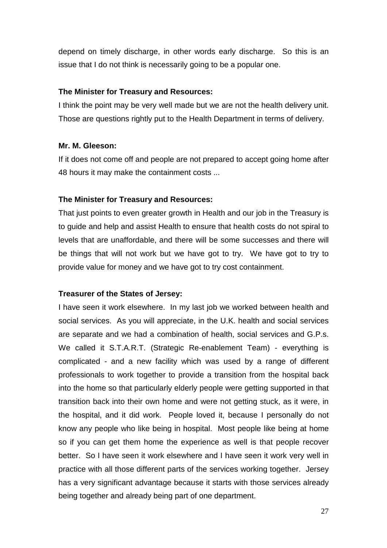depend on timely discharge, in other words early discharge. So this is an issue that I do not think is necessarily going to be a popular one.

## **The Minister for Treasury and Resources:**

I think the point may be very well made but we are not the health delivery unit. Those are questions rightly put to the Health Department in terms of delivery.

## **Mr. M. Gleeson:**

If it does not come off and people are not prepared to accept going home after 48 hours it may make the containment costs ...

## **The Minister for Treasury and Resources:**

That just points to even greater growth in Health and our job in the Treasury is to guide and help and assist Health to ensure that health costs do not spiral to levels that are unaffordable, and there will be some successes and there will be things that will not work but we have got to try. We have got to try to provide value for money and we have got to try cost containment.

## **Treasurer of the States of Jersey:**

I have seen it work elsewhere. In my last job we worked between health and social services. As you will appreciate, in the U.K. health and social services are separate and we had a combination of health, social services and G.P.s. We called it S.T.A.R.T. (Strategic Re-enablement Team) - everything is complicated - and a new facility which was used by a range of different professionals to work together to provide a transition from the hospital back into the home so that particularly elderly people were getting supported in that transition back into their own home and were not getting stuck, as it were, in the hospital, and it did work. People loved it, because I personally do not know any people who like being in hospital. Most people like being at home so if you can get them home the experience as well is that people recover better. So I have seen it work elsewhere and I have seen it work very well in practice with all those different parts of the services working together. Jersey has a very significant advantage because it starts with those services already being together and already being part of one department.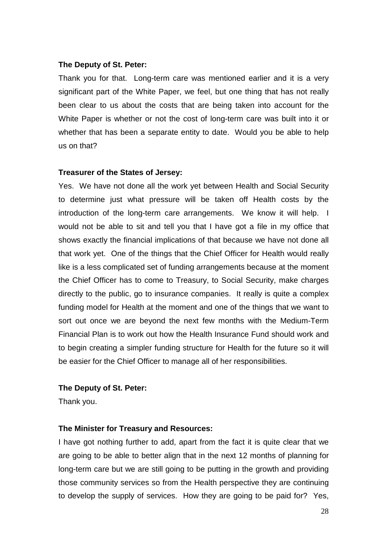## **The Deputy of St. Peter:**

Thank you for that. Long-term care was mentioned earlier and it is a very significant part of the White Paper, we feel, but one thing that has not really been clear to us about the costs that are being taken into account for the White Paper is whether or not the cost of long-term care was built into it or whether that has been a separate entity to date. Would you be able to help us on that?

## **Treasurer of the States of Jersey:**

Yes. We have not done all the work yet between Health and Social Security to determine just what pressure will be taken off Health costs by the introduction of the long-term care arrangements. We know it will help. I would not be able to sit and tell you that I have got a file in my office that shows exactly the financial implications of that because we have not done all that work yet. One of the things that the Chief Officer for Health would really like is a less complicated set of funding arrangements because at the moment the Chief Officer has to come to Treasury, to Social Security, make charges directly to the public, go to insurance companies. It really is quite a complex funding model for Health at the moment and one of the things that we want to sort out once we are beyond the next few months with the Medium-Term Financial Plan is to work out how the Health Insurance Fund should work and to begin creating a simpler funding structure for Health for the future so it will be easier for the Chief Officer to manage all of her responsibilities.

## **The Deputy of St. Peter:**

Thank you.

## **The Minister for Treasury and Resources:**

I have got nothing further to add, apart from the fact it is quite clear that we are going to be able to better align that in the next 12 months of planning for long-term care but we are still going to be putting in the growth and providing those community services so from the Health perspective they are continuing to develop the supply of services. How they are going to be paid for? Yes,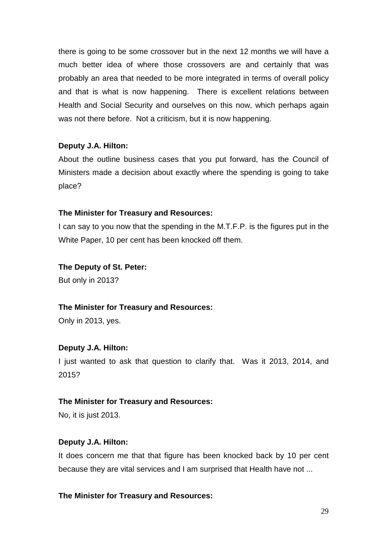there is going to be some crossover but in the next 12 months we will have a much better idea of where those crossovers are and certainly that was probably an area that needed to be more integrated in terms of overall policy and that is what is now happening. There is excellent relations between Health and Social Security and ourselves on this now, which perhaps again was not there before. Not a criticism, but it is now happening.

## **Deputy J.A. Hilton:**

About the outline business cases that you put forward, has the Council of Ministers made a decision about exactly where the spending is going to take place?

## **The Minister for Treasury and Resources:**

I can say to you now that the spending in the M.T.F.P. is the figures put in the White Paper, 10 per cent has been knocked off them.

## **The Deputy of St. Peter:**

But only in 2013?

## **The Minister for Treasury and Resources:**

Only in 2013, yes.

## **Deputy J.A. Hilton:**

I just wanted to ask that question to clarify that. Was it 2013, 2014, and 2015?

## **The Minister for Treasury and Resources:**

No, it is just 2013.

## **Deputy J.A. Hilton:**

It does concern me that that figure has been knocked back by 10 per cent because they are vital services and I am surprised that Health have not ...

## **The Minister for Treasury and Resources:**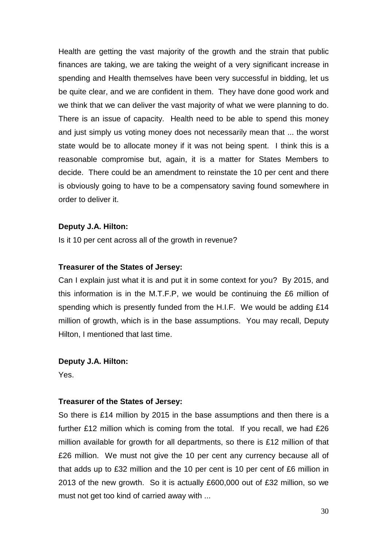Health are getting the vast majority of the growth and the strain that public finances are taking, we are taking the weight of a very significant increase in spending and Health themselves have been very successful in bidding, let us be quite clear, and we are confident in them. They have done good work and we think that we can deliver the vast majority of what we were planning to do. There is an issue of capacity. Health need to be able to spend this money and just simply us voting money does not necessarily mean that ... the worst state would be to allocate money if it was not being spent. I think this is a reasonable compromise but, again, it is a matter for States Members to decide. There could be an amendment to reinstate the 10 per cent and there is obviously going to have to be a compensatory saving found somewhere in order to deliver it.

## **Deputy J.A. Hilton:**

Is it 10 per cent across all of the growth in revenue?

## **Treasurer of the States of Jersey:**

Can I explain just what it is and put it in some context for you? By 2015, and this information is in the M.T.F.P, we would be continuing the £6 million of spending which is presently funded from the H.I.F. We would be adding £14 million of growth, which is in the base assumptions. You may recall, Deputy Hilton, I mentioned that last time.

#### **Deputy J.A. Hilton:**

Yes.

## **Treasurer of the States of Jersey:**

So there is £14 million by 2015 in the base assumptions and then there is a further £12 million which is coming from the total. If you recall, we had £26 million available for growth for all departments, so there is £12 million of that £26 million. We must not give the 10 per cent any currency because all of that adds up to £32 million and the 10 per cent is 10 per cent of £6 million in 2013 of the new growth. So it is actually £600,000 out of £32 million, so we must not get too kind of carried away with ...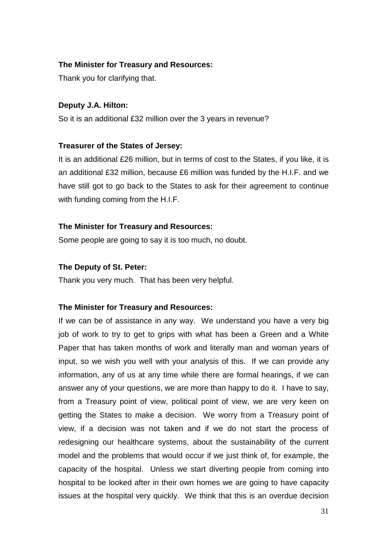## **The Minister for Treasury and Resources:**

Thank you for clarifying that.

## **Deputy J.A. Hilton:**

So it is an additional £32 million over the 3 years in revenue?

## **Treasurer of the States of Jersey:**

It is an additional £26 million, but in terms of cost to the States, if you like, it is an additional £32 million, because £6 million was funded by the H.I.F. and we have still got to go back to the States to ask for their agreement to continue with funding coming from the H.I.F.

## **The Minister for Treasury and Resources:**

Some people are going to say it is too much, no doubt.

## **The Deputy of St. Peter:**

Thank you very much. That has been very helpful.

## **The Minister for Treasury and Resources:**

If we can be of assistance in any way. We understand you have a very big job of work to try to get to grips with what has been a Green and a White Paper that has taken months of work and literally man and woman years of input, so we wish you well with your analysis of this. If we can provide any information, any of us at any time while there are formal hearings, if we can answer any of your questions, we are more than happy to do it. I have to say, from a Treasury point of view, political point of view, we are very keen on getting the States to make a decision. We worry from a Treasury point of view, if a decision was not taken and if we do not start the process of redesigning our healthcare systems, about the sustainability of the current model and the problems that would occur if we just think of, for example, the capacity of the hospital. Unless we start diverting people from coming into hospital to be looked after in their own homes we are going to have capacity issues at the hospital very quickly. We think that this is an overdue decision